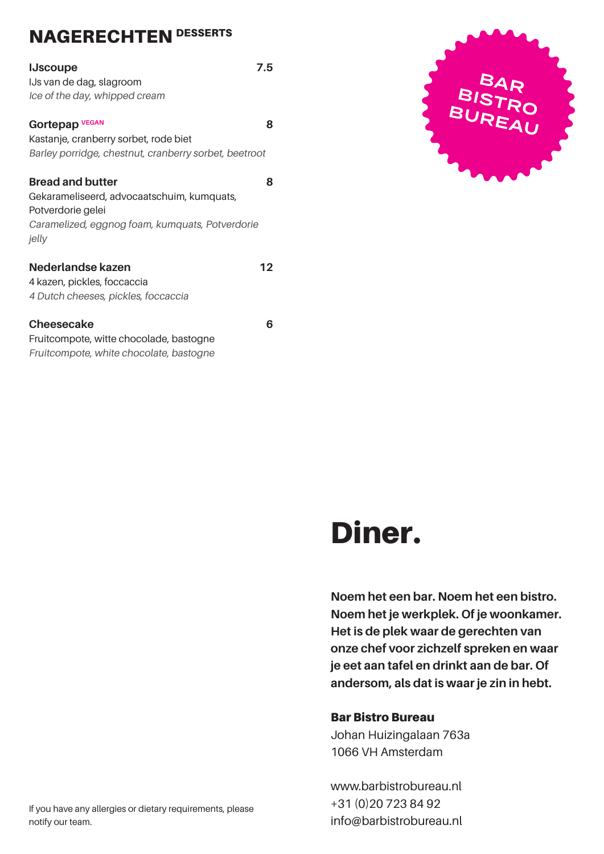#### NAGERECHTEN DESSERTS

| <b>IJscoupe</b><br>IJs van de dag, slagroom<br>Ice of the day, whipped cream                                                                           | 7.5 |
|--------------------------------------------------------------------------------------------------------------------------------------------------------|-----|
| Gortepap <sup>VEGAN</sup><br>Kastanje, cranberry sorbet, rode biet<br>Barley porridge, chestnut, cranberry sorbet, beetroot                            | 8   |
| <b>Bread and butter</b><br>Gekarameliseerd, advocaatschuim, kumquats,<br>Potverdorie gelei<br>Caramelized, eggnog foam, kumquats, Potverdorie<br>jelly | 8   |
| Nederlandse kazen<br>4 kazen, pickles, foccaccia<br>4 Dutch cheeses, pickles, foccaccia                                                                | 12  |
| <b>Cheesecake</b>                                                                                                                                      | h   |

Fruitcompote, witte chocolade, bastogne Fruitcompote, white chocolate, bastogne



# Diner.

**Noem het een bar. Noem het een bistro. Noem het je werkplek. Of je woonkamer. Het is de plek waar de gerechten van onze chef voor zichzelf spreken en waar je eet aan tafel en drinkt aan de bar. Of andersom, als dat is waar je zin in hebt.**

#### Bar Bistro Bureau

Johan Huizingalaan 763a 1066 VH Amsterdam

www.barbistrobureau.nl +31 (0)20 723 84 92 info@barbistrobureau.nl

If you have any allergies or dietary requirements, please notify our team.